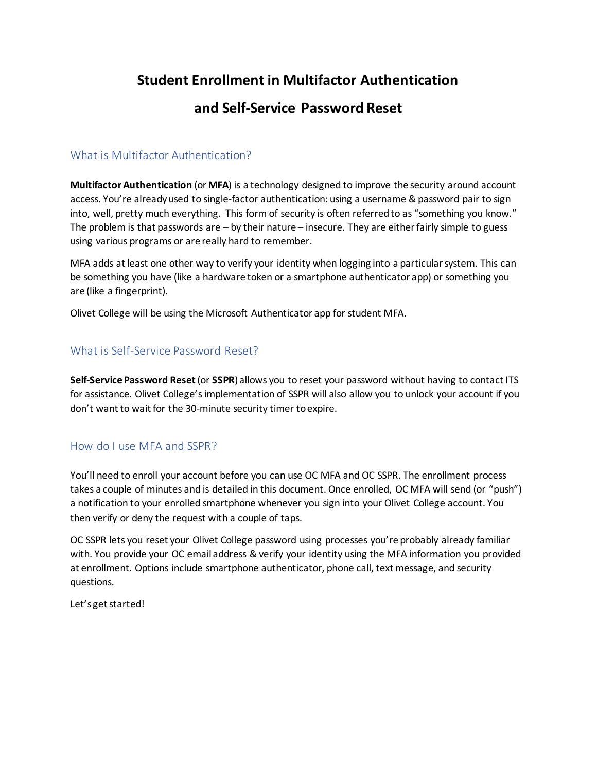## **Student Enrollment in Multifactor Authentication**

## **and Self-Service Password Reset**

### What is Multifactor Authentication?

**Multifactor Authentication** (or **MFA**) is a technology designed to improve the security around account access. You're already used to single-factor authentication: using a username & password pair to sign into, well, pretty much everything. This form of security is often referred to as "something you know." The problem is that passwords are – by their nature – insecure. They are either fairly simple to guess using various programs or are really hard to remember.

MFA adds at least one other way to verify your identity when logging into a particular system. This can be something you have (like a hardware token or a smartphone authenticator app) or something you are (like a fingerprint).

Olivet College will be using the Microsoft Authenticator app for student MFA.

## What is Self-Service Password Reset?

**Self-Service Password Reset**(or **SSPR**) allows you to reset your password without having to contact ITS for assistance. Olivet College's implementation of SSPR will also allow you to unlock your account if you don't want to wait for the 30-minute security timer to expire.

#### How do I use MFA and SSPR?

You'll need to enroll your account before you can use OC MFA and OC SSPR. The enrollment process takes a couple of minutes and is detailed in this document. Once enrolled, OC MFA will send (or "push") a notification to your enrolled smartphone whenever you sign into your Olivet College account. You then verify or deny the request with a couple of taps.

OC SSPR lets you reset your Olivet College password using processes you're probably already familiar with. You provide your OC email address & verify your identity using the MFA information you provided at enrollment. Options include smartphone authenticator, phone call, text message, and security questions.

Let's get started!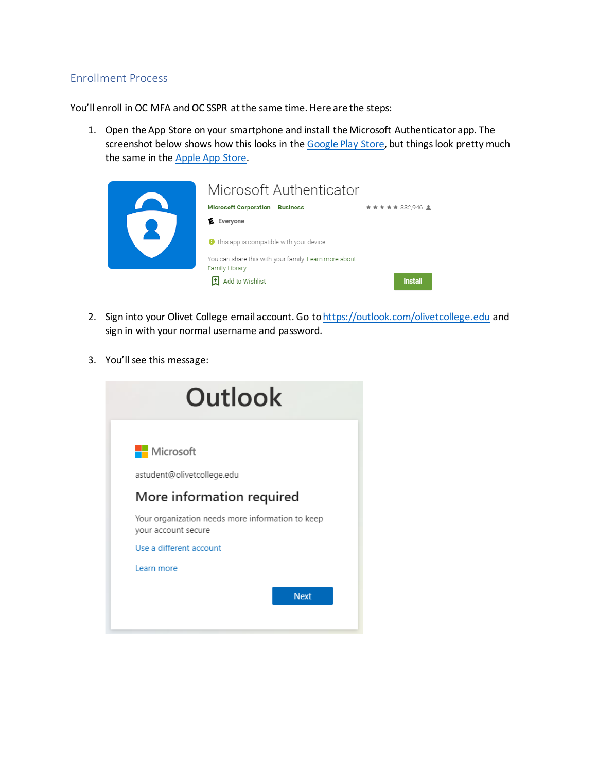### Enrollment Process

You'll enroll in OC MFA and OC SSPR at the same time. Here are the steps:

1. Open the App Store on your smartphone and install the Microsoft Authenticator app. The screenshot below shows how this looks in the [Google Play Store,](https://play.google.com/store/apps/details?id=com.azure.authenticator&hl=en_US&gl=US) but things look pretty much the same in the [Apple App Store.](https://apps.apple.com/us/app/microsoft-authenticator/id983156458)

| Microsoft Authenticator                                                 |                 |
|-------------------------------------------------------------------------|-----------------|
| <b>Microsoft Corporation</b><br><b>Business</b>                         | ★★★★★ 332,946 ± |
| E Everyone                                                              |                 |
| <b>O</b> This app is compatible with your device.                       |                 |
| You can share this with your family. Learn more about<br>Family Library |                 |
| Add to Wishlist                                                         | <b>Install</b>  |

- 2. Sign into your Olivet College email account. Go t[o https://outlook.com/olivetcollege.edu](https://outlook.com/olivetcollege.edu) and sign in with your normal username and password.
- 3. You'll see this message:

| Outlook                                                                 |             |
|-------------------------------------------------------------------------|-------------|
| <b>Nicrosoft</b>                                                        |             |
| astudent@olivetcollege.edu                                              |             |
| More information required                                               |             |
| Your organization needs more information to keep<br>your account secure |             |
| Use a different account                                                 |             |
| Learn more                                                              |             |
|                                                                         | <b>Next</b> |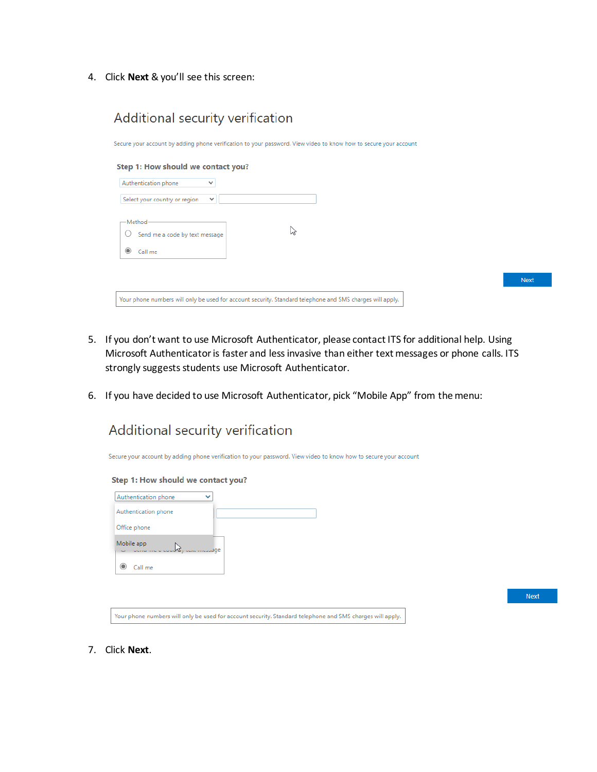4. Click **Next** & you'll see this screen:

Additional security verification

| Step 1: How should we contact you?<br>$\checkmark$ |                  |  |                                                                                                                  |
|----------------------------------------------------|------------------|--|------------------------------------------------------------------------------------------------------------------|
| $\checkmark$                                       |                  |  |                                                                                                                  |
| Send me a code by text message                     | $\triangleright$ |  |                                                                                                                  |
|                                                    |                  |  |                                                                                                                  |
|                                                    |                  |  | <b>Next</b>                                                                                                      |
|                                                    |                  |  | Secure your account by adding phone verification to your password. View video to know how to secure your account |

- 5. If you don't want to use Microsoft Authenticator, please contact ITS for additional help. Using Microsoft Authenticator is faster and less invasive than either text messages or phone calls. ITS strongly suggests students use Microsoft Authenticator.
- 6. If you have decided to use Microsoft Authenticator, pick "Mobile App" from the menu:



| Authentication phone | v             |  |
|----------------------|---------------|--|
| Authentication phone |               |  |
| Office phone         |               |  |
| Mobile app<br>M      | concurred are |  |
| Call me              |               |  |
|                      |               |  |

Next

7. Click **Next**.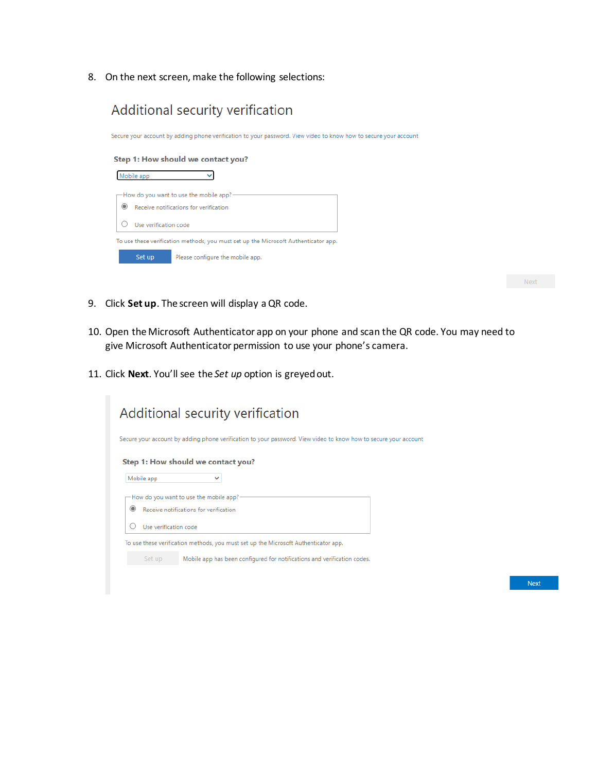8. On the next screen, make the following selections:



 $Next$ 

- 9. Click **Set up**. The screen will display a QR code.
- 10. Open the Microsoft Authenticator app on your phone and scan the QR code. You may need to give Microsoft Authenticator permission to use your phone's camera.
- 11. Click **Next**. You'll see the *Set up* option is greyed out.

| Additional security verification                                                                                 |  |
|------------------------------------------------------------------------------------------------------------------|--|
| Secure your account by adding phone verification to your password. View video to know how to secure your account |  |
| Step 1: How should we contact you?                                                                               |  |
| Mobile app<br>$\checkmark$                                                                                       |  |
| - How do you want to use the mobile app? -                                                                       |  |
| Receive notifications for verification                                                                           |  |
| Use verification code                                                                                            |  |
| To use these verification methods, you must set up the Microsoft Authenticator app.                              |  |
| Set up<br>Mobile app has been configured for notifications and verification codes.                               |  |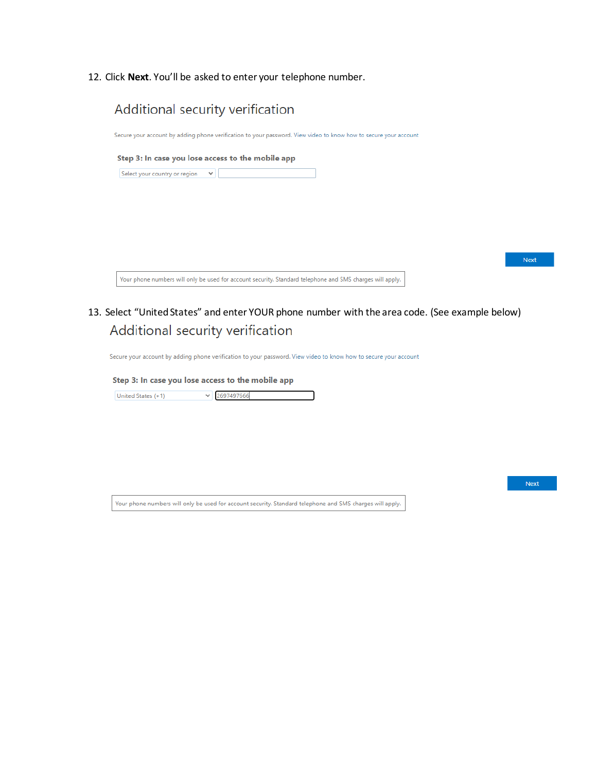12. Click **Next**. You'll be asked to enter your telephone number.



13. Select "United States" and enter YOUR phone number with the area code. (See example below)Additional security verification

Secure your account by adding phone verification to your password. View video to know how to secure your account

#### Step 3: In case you lose access to the mobile app

 $\vee$  2697497666 United States (+1)

Your phone numbers will only be used for account security. Standard telephone and SMS charges will apply.

Next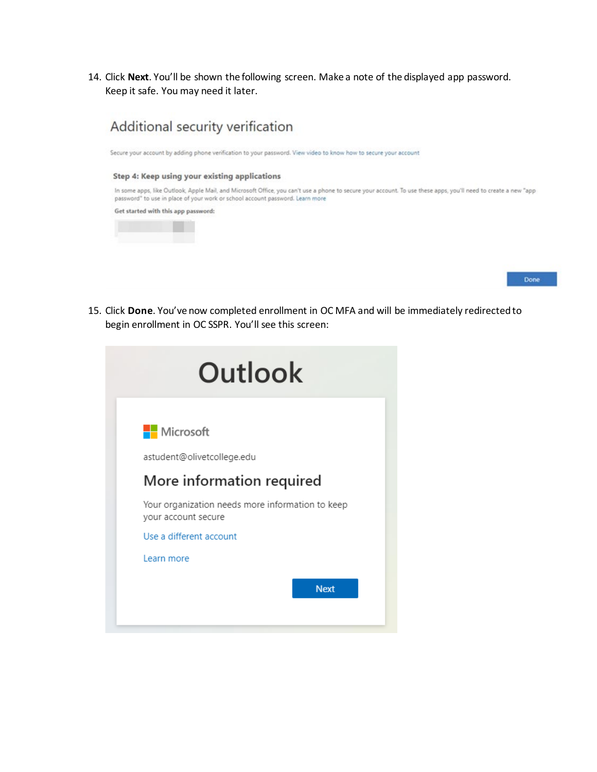14. Click **Next**. You'll be shown the following screen. Make a note of the displayed app password. Keep it safe. You may need it later.



Secure your account by adding phone verification to your password. View video to know how to secure your account

#### Step 4: Keep using your existing applications

In some apps, like Outlook, Apple Mail, and Microsoft Office, you can't use a phone to secure your account. To use these apps, you'll need to create a new "app password" to use in place of your work or school account password. Learn more

Get started with this app password:





15. Click **Done**. You've now completed enrollment in OC MFA and will be immediately redirected to begin enrollment in OC SSPR. You'll see this screen:

| Outlook                                                                 |  |
|-------------------------------------------------------------------------|--|
| <b>Nicrosoft</b>                                                        |  |
| astudent@olivetcollege.edu                                              |  |
| More information required                                               |  |
| Your organization needs more information to keep<br>your account secure |  |
| Use a different account                                                 |  |
| Learn more                                                              |  |
| <b>Next</b>                                                             |  |
|                                                                         |  |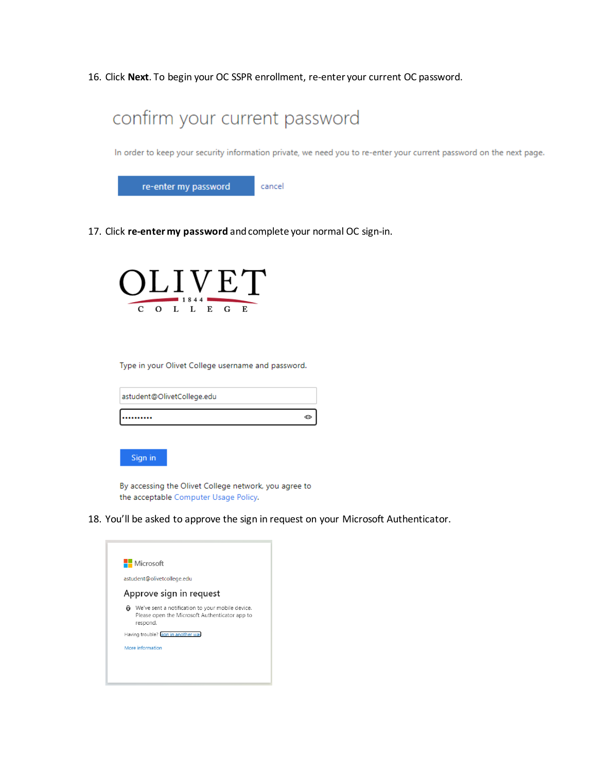16. Click **Next**. To begin your OC SSPR enrollment, re-enter your current OC password.



In order to keep your security information private, we need you to re-enter your current password on the next page.



17. Click **re-enter my password** and complete your normal OC sign-in.



Type in your Olivet College username and password.

| astudent@OlivetCollege.edu |  |
|----------------------------|--|
|                            |  |



By accessing the Olivet College network, you agree to the acceptable Computer Usage Policy.

18. You'll be asked to approve the sign in request on your Microsoft Authenticator.

|   | <b>H</b> Microsoft                                                                                             |
|---|----------------------------------------------------------------------------------------------------------------|
|   | astudent@olivetcollege.edu                                                                                     |
|   | Approve sign in request                                                                                        |
| ô | We've sent a notification to your mobile device.<br>Please open the Microsoft Authenticator app to<br>respond. |
|   | Having trouble? Sign in another way                                                                            |
|   | More information                                                                                               |
|   |                                                                                                                |
|   |                                                                                                                |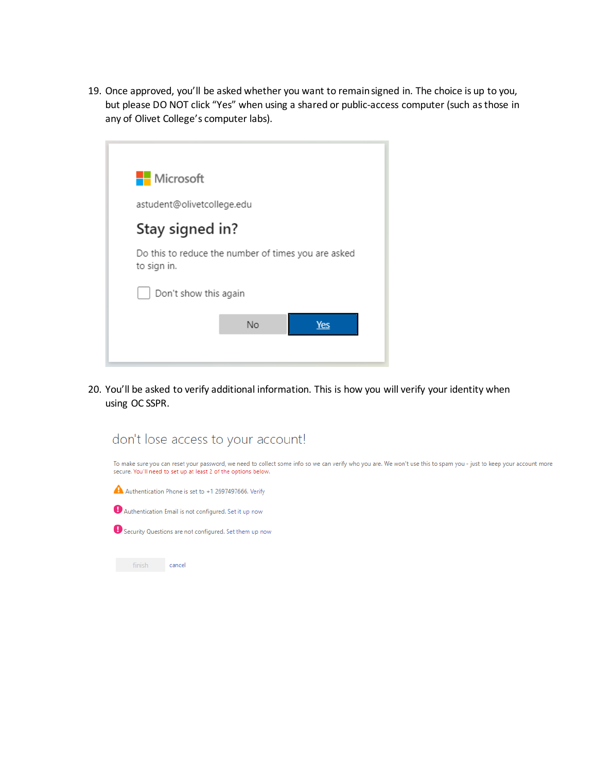19. Once approved, you'll be asked whether you want to remain signed in. The choice is up to you, but please DO NOT click "Yes" when using a shared or public-access computer (such as those in any of Olivet College's computer labs).

| <b>H</b> Microsoft                                                 |  |
|--------------------------------------------------------------------|--|
| astudent@olivetcollege.edu                                         |  |
| Stay signed in?                                                    |  |
| Do this to reduce the number of times you are asked<br>to sign in. |  |
| Don't show this again                                              |  |
| No<br>Yes                                                          |  |
|                                                                    |  |

20. You'll be asked to verify additional information. This is how you will verify your identity when using OC SSPR.

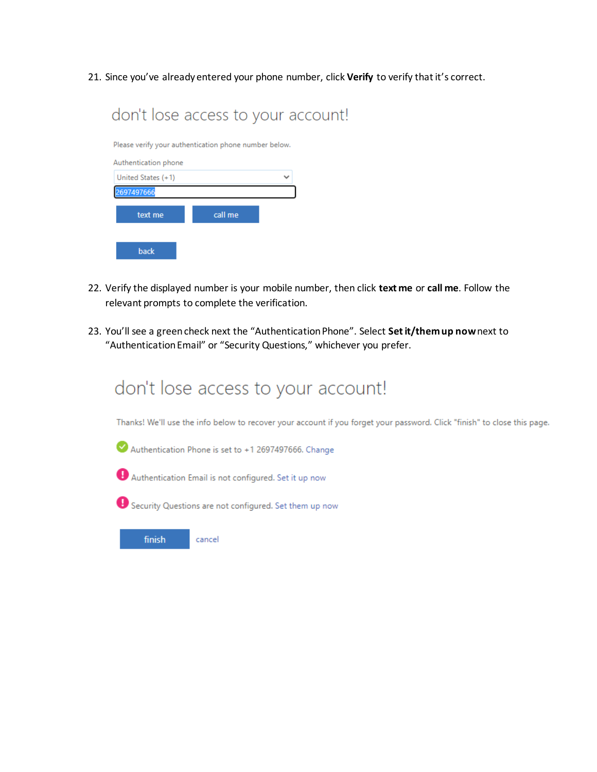21. Since you've already entered your phone number, click **Verify** to verify that it's correct.

|                                                       |         | don't lose access to your account! |
|-------------------------------------------------------|---------|------------------------------------|
| Please verify your authentication phone number below. |         |                                    |
| Authentication phone                                  |         |                                    |
| United States (+1)                                    |         |                                    |
| 97497666                                              |         |                                    |
| text me                                               | call me |                                    |
| back                                                  |         |                                    |

- 22. Verify the displayed number is your mobile number, then click **text me** or **call me**. Follow the relevant prompts to complete the verification.
- 23. You'll see a green check next the "Authentication Phone". Select **Set it/them up now**next to "Authentication Email" or "Security Questions," whichever you prefer.

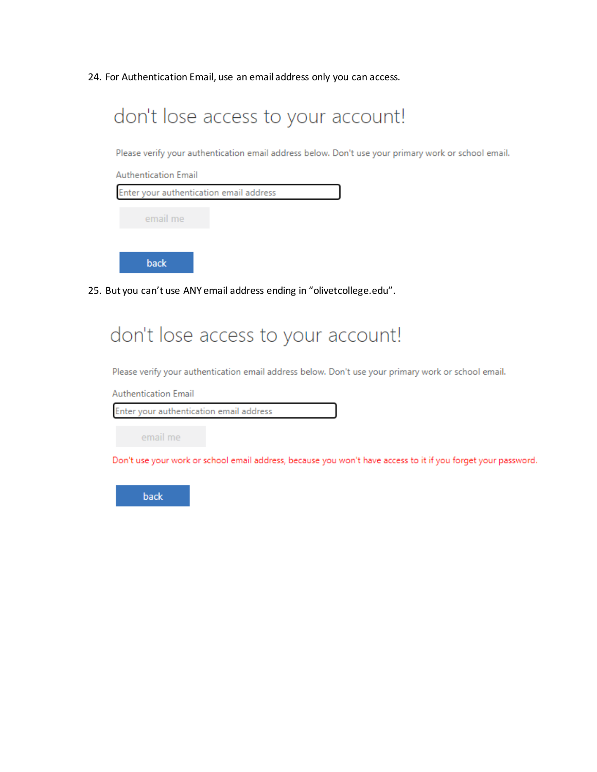24. For Authentication Email, use an email address only you can access.



# don't lose access to your account!

Please verify your authentication email address below. Don't use your primary work or school email.

**Authentication Email** 

Enter your authentication email address

email me

Don't use your work or school email address, because you won't have access to it if you forget your password.

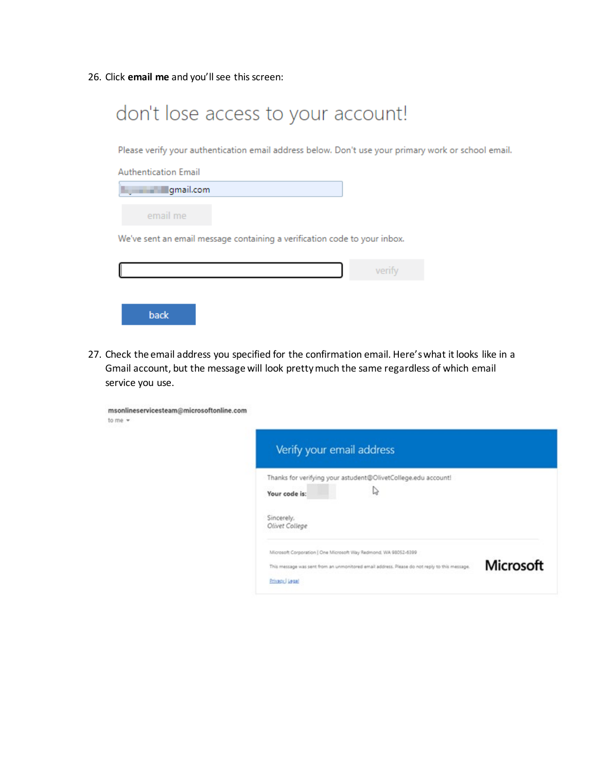26. Click **email me** and you'll see this screen:

| don't lose access to your account!                                                                  |        |
|-----------------------------------------------------------------------------------------------------|--------|
| Please verify your authentication email address below. Don't use your primary work or school email. |        |
| <b>Authentication Email</b>                                                                         |        |
| gmail.com                                                                                           |        |
| email me                                                                                            |        |
| We've sent an email message containing a verification code to your inbox.                           |        |
|                                                                                                     | verify |
| back                                                                                                |        |

27. Check the email address you specified for the confirmation email. Here's what it looks like in a Gmail account, but the message will look pretty much the same regardless of which email service you use.

| msonlineservicesteam@microsoftonline.com<br>to me $-$ |                                                                                                                                                                                     |                  |
|-------------------------------------------------------|-------------------------------------------------------------------------------------------------------------------------------------------------------------------------------------|------------------|
|                                                       | Verify your email address                                                                                                                                                           |                  |
|                                                       | Thanks for verifying your astudent@OlivetCollege.edu account!<br>D<br>Your code is:<br>Sincerely,<br>Olivet College                                                                 |                  |
|                                                       | Microsoft Corporation   One Microsoft Way Redmond, WA 98052-6399<br>This message was sent from an unmonitored email address. Please do not reply to this message.<br>Privacy, Legal | <b>Microsoft</b> |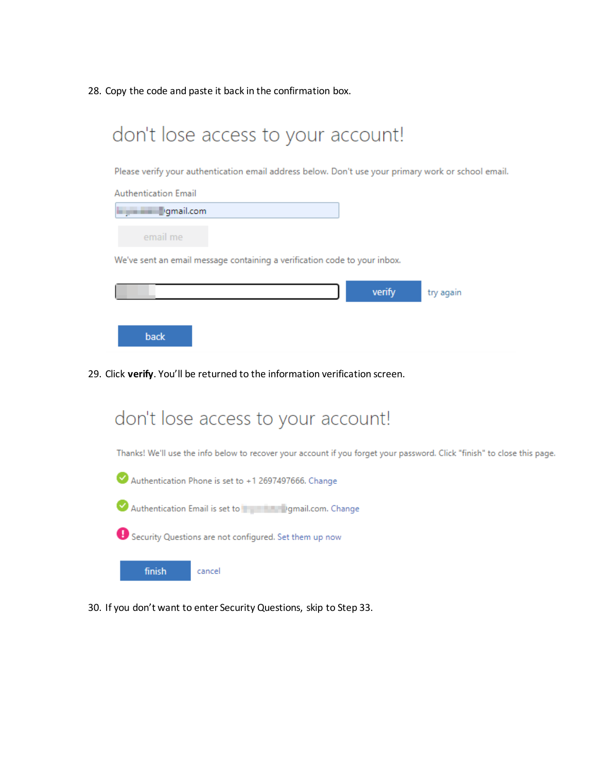28. Copy the code and paste it back in the confirmation box.



Please verify your authentication email address below. Don't use your primary work or school email.

| <b>Authentication Email</b>                                                                                                                                                                                                    |        |           |
|--------------------------------------------------------------------------------------------------------------------------------------------------------------------------------------------------------------------------------|--------|-----------|
| dentisting of the probability of the probability of the probability of the probability of the probability of the probability of the probability of the probability of the probability of the probability of the probability of |        |           |
| email me                                                                                                                                                                                                                       |        |           |
| We've sent an email message containing a verification code to your inbox.                                                                                                                                                      |        |           |
|                                                                                                                                                                                                                                |        |           |
|                                                                                                                                                                                                                                | verify | try again |
|                                                                                                                                                                                                                                |        |           |
| back                                                                                                                                                                                                                           |        |           |

29. Click **verify**. You'll be returned to the information verification screen.



30. If you don't want to enter Security Questions, skip to Step 33.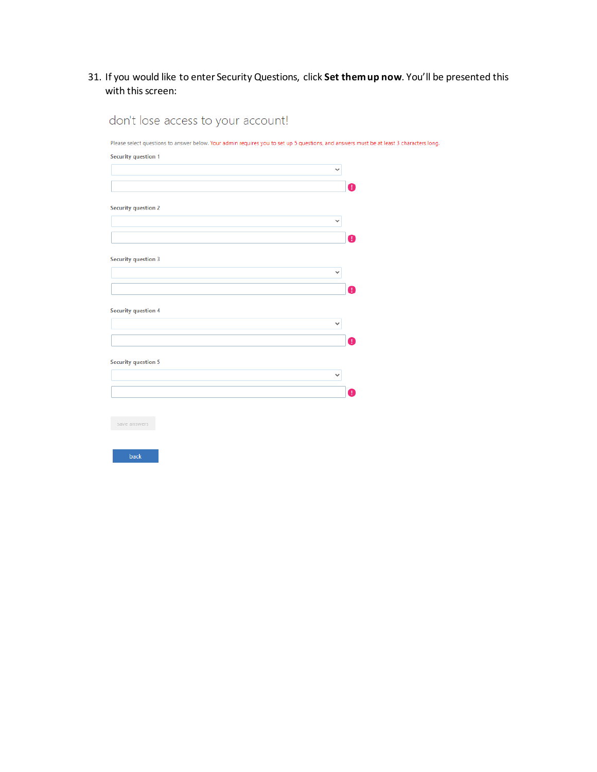31. If you would like to enter Security Questions, click **Set them up now**. You'll be presented this with this screen:

| <b>Security question 1</b> |              |
|----------------------------|--------------|
|                            | $\checkmark$ |
|                            |              |
|                            | a            |
| <b>Security question 2</b> |              |
|                            | $\checkmark$ |
|                            |              |
|                            | A            |
|                            |              |
| <b>Security question 3</b> |              |
|                            | $\checkmark$ |
|                            | т            |
|                            |              |
| <b>Security question 4</b> |              |
|                            | $\checkmark$ |
|                            |              |
|                            | n            |
| <b>Security question 5</b> |              |
|                            | $\checkmark$ |
|                            |              |
|                            | T            |
|                            |              |
|                            |              |
| save answers               |              |
|                            |              |

don't lose access to your account!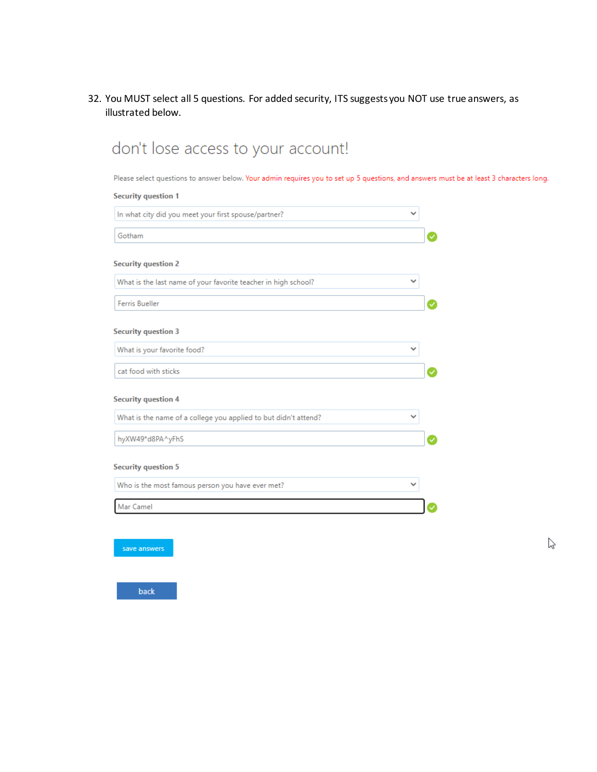32. You MUST select all 5 questions. For added security, ITS suggests you NOT use true answers, as illustrated below.

| <b>Security question 1</b>                                      |   |
|-----------------------------------------------------------------|---|
| In what city did you meet your first spouse/partner?            | ◡ |
| Gotham                                                          |   |
| <b>Security question 2</b>                                      |   |
| What is the last name of your favorite teacher in high school?  |   |
| <b>Ferris Bueller</b>                                           |   |
| <b>Security question 3</b>                                      |   |
| What is your favorite food?                                     | ◡ |
| cat food with sticks                                            |   |
| <b>Security question 4</b>                                      |   |
| What is the name of a college you applied to but didn't attend? | ◡ |
| hyXW49*d8PA^yFhS                                                |   |
| <b>Security question 5</b>                                      |   |
| Who is the most famous person you have ever met?                |   |
| Mar Camel                                                       |   |

 $\heartsuit$ 

# don't lose access to your accountl

rs long.